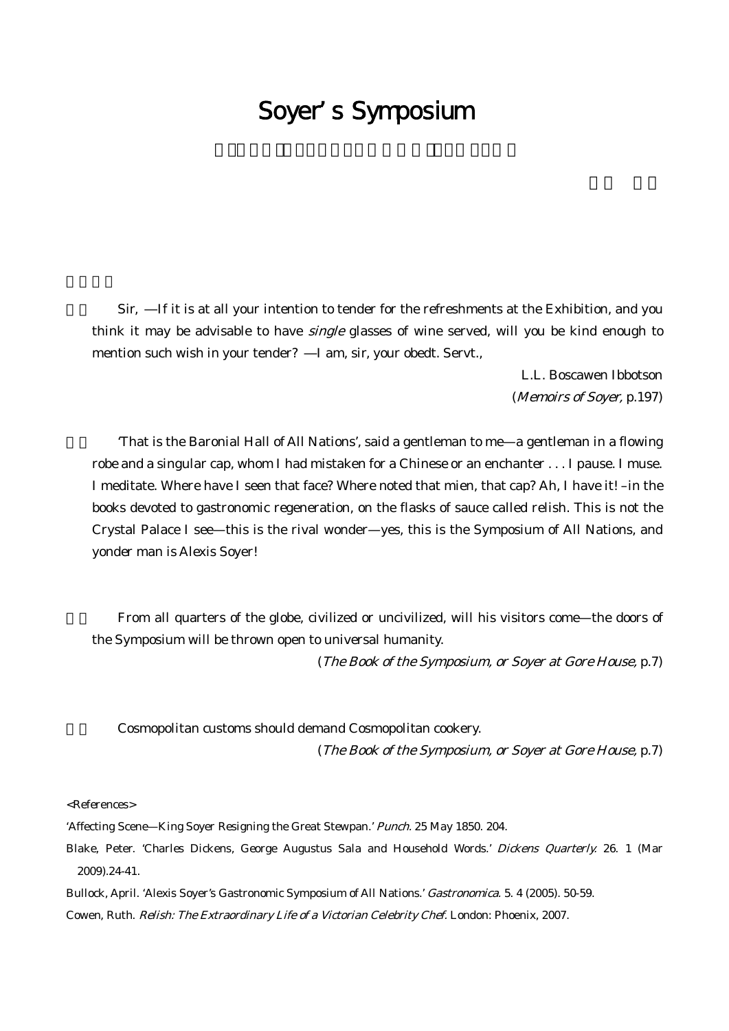## Soyer's Symposium

Sir, If it is at all your intention to tender for the refreshments at the Exhibition, and you think it may be advisable to have single glasses of wine served, will you be kind enough to mention such wish in your tender? I am, sir, your obedt. Servt.,

> L.L. Boscawen Ibbotson (Memoirs of Soyer, p.197)

'That is the Baronial Hall of All Nations', said a gentleman to me—a gentleman in a flowing robe and a singular cap, whom I had mistaken for a Chinese or an enchanter . . . I pause. I muse. I meditate. Where have I seen that face? Where noted that mien, that cap? Ah, I have it! –in the books devoted to gastronomic regeneration, on the flasks of sauce called relish. This is not the Crystal Palace I see—this is the rival wonder—yes, this is the Symposium of All Nations, and yonder man is Alexis Soyer!

From all quarters of the globe, civilized or uncivilized, will his visitors come—the doors of the Symposium will be thrown open to universal humanity.

(The Book of the Symposium, or Soyer at Gore House, p.7)

Cosmopolitan customs should demand Cosmopolitan cookery.

(The Book of the Symposium, or Soyer at Gore House, p.7)

<References>

'Affecting Scene—King Soyer Resigning the Great Stewpan.' Punch. 25 May 1850. 204.

Blake, Peter. 'Charles Dickens, George Augustus Sala and Household Words.' Dickens Quarterly. 26. 1 (Mar 2009).24-41.

Bullock, April. 'Alexis Soyer's Gastronomic Symposium of All Nations.' Gastronomica. 5. 4 (2005). 50-59. Cowen, Ruth. Relish: The Extraordinary Life of <sup>a</sup> Victorian Celebrity Chef. London: Phoenix, 2007.